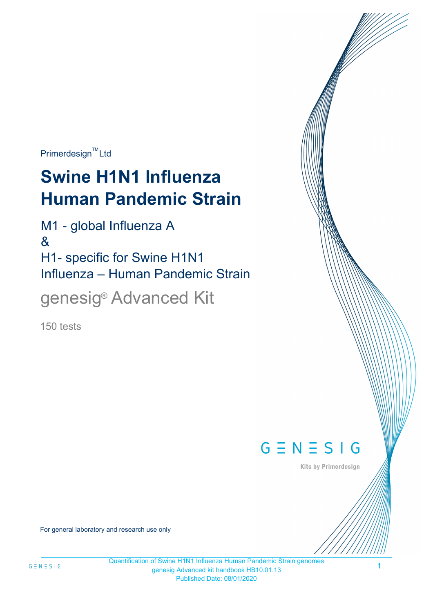$Primerdesign^{\text{TM}}$ Ltd

# **Swine H1N1 Influenza Human Pandemic Strain**

M1 - global Influenza A & H1- specific for Swine H1N1 Influenza – Human Pandemic Strain

genesig<sup>®</sup> Advanced Kit

150 tests



Kits by Primerdesign

For general laboratory and research use only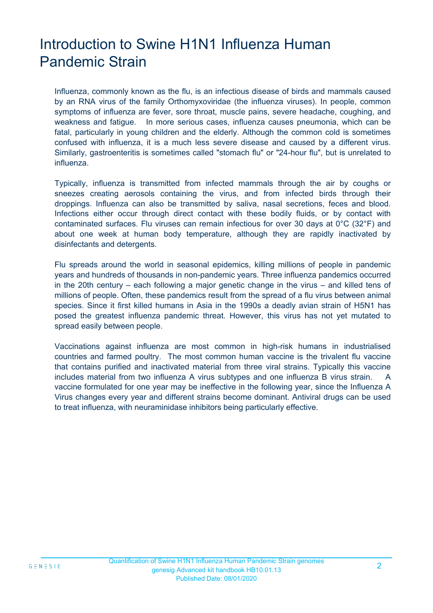# Introduction to Swine H1N1 Influenza Human Pandemic Strain

Influenza, commonly known as the flu, is an infectious disease of birds and mammals caused by an RNA virus of the family Orthomyxoviridae (the influenza viruses). In people, common symptoms of influenza are fever, sore throat, muscle pains, severe headache, coughing, and weakness and fatigue. In more serious cases, influenza causes pneumonia, which can be fatal, particularly in young children and the elderly. Although the common cold is sometimes confused with influenza, it is a much less severe disease and caused by a different virus. Similarly, gastroenteritis is sometimes called "stomach flu" or "24-hour flu", but is unrelated to influenza.

Typically, influenza is transmitted from infected mammals through the air by coughs or sneezes creating aerosols containing the virus, and from infected birds through their droppings. Influenza can also be transmitted by saliva, nasal secretions, feces and blood. Infections either occur through direct contact with these bodily fluids, or by contact with contaminated surfaces. Flu viruses can remain infectious for over 30 days at 0°C (32°F) and about one week at human body temperature, although they are rapidly inactivated by disinfectants and detergents.

Flu spreads around the world in seasonal epidemics, killing millions of people in pandemic years and hundreds of thousands in non-pandemic years. Three influenza pandemics occurred in the 20th century – each following a major genetic change in the virus – and killed tens of millions of people. Often, these pandemics result from the spread of a flu virus between animal species. Since it first killed humans in Asia in the 1990s a deadly avian strain of H5N1 has posed the greatest influenza pandemic threat. However, this virus has not yet mutated to spread easily between people.

Vaccinations against influenza are most common in high-risk humans in industrialised countries and farmed poultry. The most common human vaccine is the trivalent flu vaccine that contains purified and inactivated material from three viral strains. Typically this vaccine includes material from two influenza A virus subtypes and one influenza B virus strain. A vaccine formulated for one year may be ineffective in the following year, since the Influenza A Virus changes every year and different strains become dominant. Antiviral drugs can be used to treat influenza, with neuraminidase inhibitors being particularly effective.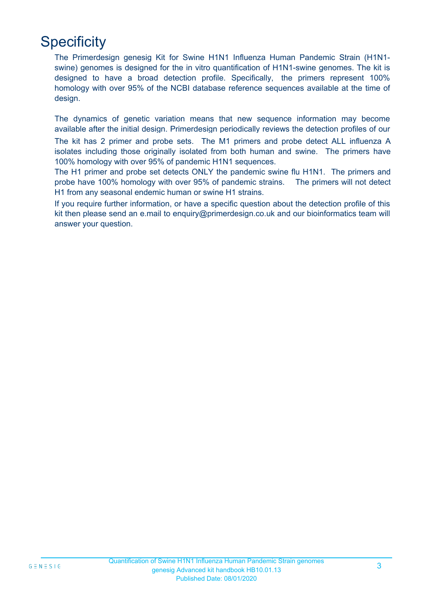# **Specificity**

The Primerdesign genesig Kit for Swine H1N1 Influenza Human Pandemic Strain (H1N1 swine) genomes is designed for the in vitro quantification of H1N1-swine genomes. The kit is designed to have a broad detection profile. Specifically, the primers represent 100% homology with over 95% of the NCBI database reference sequences available at the time of design.

The dynamics of genetic variation means that new sequence information may become available after the initial design. Primerdesign periodically reviews the detection profiles of our

The kit has 2 primer and probe sets. The M1 primers and probe detect ALL influenza A isolates including those originally isolated from both human and swine. The primers have 100% homology with over 95% of pandemic H1N1 sequences.

The H1 primer and probe set detects ONLY the pandemic swine flu H1N1. The primers and probe have 100% homology with over 95% of pandemic strains. The primers will not detect H1 from any seasonal endemic human or swine H1 strains.

If you require further information, or have a specific question about the detection profile of this kit then please send an e.mail to enquiry@primerdesign.co.uk and our bioinformatics team will answer your question.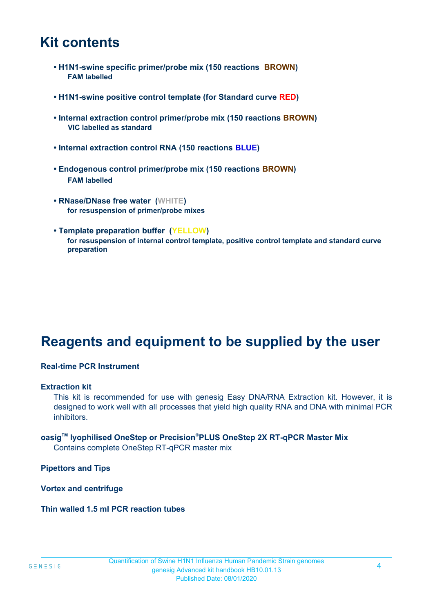### **Kit contents**

- **H1N1-swine specific primer/probe mix (150 reactions BROWN) FAM labelled**
- **H1N1-swine positive control template (for Standard curve RED)**
- **Internal extraction control primer/probe mix (150 reactions BROWN) VIC labelled as standard**
- **Internal extraction control RNA (150 reactions BLUE)**
- **Endogenous control primer/probe mix (150 reactions BROWN) FAM labelled**
- **RNase/DNase free water (WHITE) for resuspension of primer/probe mixes**
- **Template preparation buffer (YELLOW) for resuspension of internal control template, positive control template and standard curve preparation**

# **Reagents and equipment to be supplied by the user**

#### **Real-time PCR Instrument**

#### **Extraction kit**

This kit is recommended for use with genesig Easy DNA/RNA Extraction kit. However, it is designed to work well with all processes that yield high quality RNA and DNA with minimal PCR inhibitors.

### **oasigTM lyophilised OneStep or Precision**®**PLUS OneStep 2X RT-qPCR Master Mix**

Contains complete OneStep RT-qPCR master mix

**Pipettors and Tips**

**Vortex and centrifuge**

**Thin walled 1.5 ml PCR reaction tubes**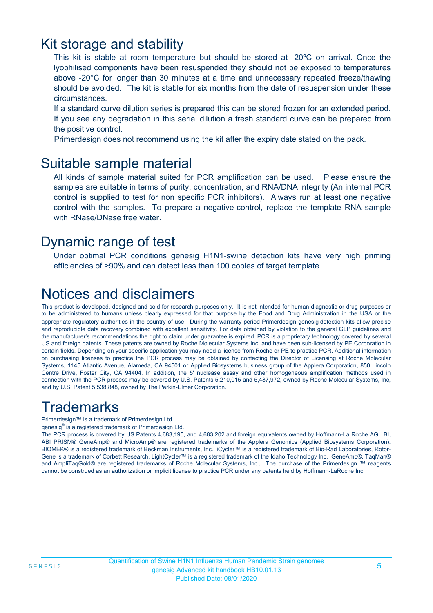### Kit storage and stability

This kit is stable at room temperature but should be stored at -20ºC on arrival. Once the lyophilised components have been resuspended they should not be exposed to temperatures above -20°C for longer than 30 minutes at a time and unnecessary repeated freeze/thawing should be avoided. The kit is stable for six months from the date of resuspension under these circumstances.

If a standard curve dilution series is prepared this can be stored frozen for an extended period. If you see any degradation in this serial dilution a fresh standard curve can be prepared from the positive control.

Primerdesign does not recommend using the kit after the expiry date stated on the pack.

### Suitable sample material

All kinds of sample material suited for PCR amplification can be used. Please ensure the samples are suitable in terms of purity, concentration, and RNA/DNA integrity (An internal PCR control is supplied to test for non specific PCR inhibitors). Always run at least one negative control with the samples. To prepare a negative-control, replace the template RNA sample with RNase/DNase free water.

### Dynamic range of test

Under optimal PCR conditions genesig H1N1-swine detection kits have very high priming efficiencies of >90% and can detect less than 100 copies of target template.

# Notices and disclaimers

This product is developed, designed and sold for research purposes only. It is not intended for human diagnostic or drug purposes or to be administered to humans unless clearly expressed for that purpose by the Food and Drug Administration in the USA or the appropriate regulatory authorities in the country of use. During the warranty period Primerdesign genesig detection kits allow precise and reproducible data recovery combined with excellent sensitivity. For data obtained by violation to the general GLP guidelines and the manufacturer's recommendations the right to claim under guarantee is expired. PCR is a proprietary technology covered by several US and foreign patents. These patents are owned by Roche Molecular Systems Inc. and have been sub-licensed by PE Corporation in certain fields. Depending on your specific application you may need a license from Roche or PE to practice PCR. Additional information on purchasing licenses to practice the PCR process may be obtained by contacting the Director of Licensing at Roche Molecular Systems, 1145 Atlantic Avenue, Alameda, CA 94501 or Applied Biosystems business group of the Applera Corporation, 850 Lincoln Centre Drive, Foster City, CA 94404. In addition, the 5' nuclease assay and other homogeneous amplification methods used in connection with the PCR process may be covered by U.S. Patents 5,210,015 and 5,487,972, owned by Roche Molecular Systems, Inc, and by U.S. Patent 5,538,848, owned by The Perkin-Elmer Corporation.

# **Trademarks**

Primerdesign™ is a trademark of Primerdesign Ltd.

genesig® is a registered trademark of Primerdesign Ltd.

The PCR process is covered by US Patents 4,683,195, and 4,683,202 and foreign equivalents owned by Hoffmann-La Roche AG. BI, ABI PRISM® GeneAmp® and MicroAmp® are registered trademarks of the Applera Genomics (Applied Biosystems Corporation). BIOMEK® is a registered trademark of Beckman Instruments, Inc.; iCycler™ is a registered trademark of Bio-Rad Laboratories, Rotor-Gene is a trademark of Corbett Research. LightCycler™ is a registered trademark of the Idaho Technology Inc. GeneAmp®, TaqMan® and AmpliTaqGold® are registered trademarks of Roche Molecular Systems, Inc., The purchase of the Primerdesign ™ reagents cannot be construed as an authorization or implicit license to practice PCR under any patents held by Hoffmann-LaRoche Inc.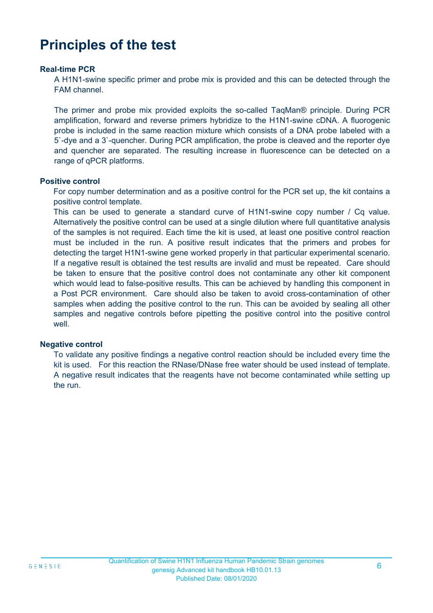# **Principles of the test**

#### **Real-time PCR**

A H1N1-swine specific primer and probe mix is provided and this can be detected through the FAM channel.

The primer and probe mix provided exploits the so-called TaqMan® principle. During PCR amplification, forward and reverse primers hybridize to the H1N1-swine cDNA. A fluorogenic probe is included in the same reaction mixture which consists of a DNA probe labeled with a 5`-dye and a 3`-quencher. During PCR amplification, the probe is cleaved and the reporter dye and quencher are separated. The resulting increase in fluorescence can be detected on a range of qPCR platforms.

#### **Positive control**

For copy number determination and as a positive control for the PCR set up, the kit contains a positive control template.

This can be used to generate a standard curve of H1N1-swine copy number / Cq value. Alternatively the positive control can be used at a single dilution where full quantitative analysis of the samples is not required. Each time the kit is used, at least one positive control reaction must be included in the run. A positive result indicates that the primers and probes for detecting the target H1N1-swine gene worked properly in that particular experimental scenario. If a negative result is obtained the test results are invalid and must be repeated. Care should be taken to ensure that the positive control does not contaminate any other kit component which would lead to false-positive results. This can be achieved by handling this component in a Post PCR environment. Care should also be taken to avoid cross-contamination of other samples when adding the positive control to the run. This can be avoided by sealing all other samples and negative controls before pipetting the positive control into the positive control well

#### **Negative control**

To validate any positive findings a negative control reaction should be included every time the kit is used. For this reaction the RNase/DNase free water should be used instead of template. A negative result indicates that the reagents have not become contaminated while setting up the run.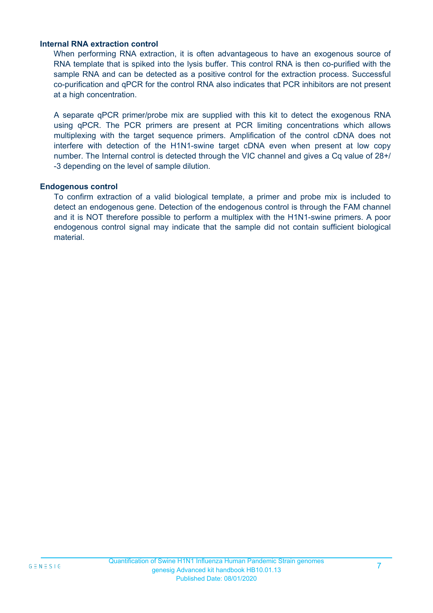#### **Internal RNA extraction control**

When performing RNA extraction, it is often advantageous to have an exogenous source of RNA template that is spiked into the lysis buffer. This control RNA is then co-purified with the sample RNA and can be detected as a positive control for the extraction process. Successful co-purification and qPCR for the control RNA also indicates that PCR inhibitors are not present at a high concentration.

A separate qPCR primer/probe mix are supplied with this kit to detect the exogenous RNA using qPCR. The PCR primers are present at PCR limiting concentrations which allows multiplexing with the target sequence primers. Amplification of the control cDNA does not interfere with detection of the H1N1-swine target cDNA even when present at low copy number. The Internal control is detected through the VIC channel and gives a Cq value of 28+/ -3 depending on the level of sample dilution.

#### **Endogenous control**

To confirm extraction of a valid biological template, a primer and probe mix is included to detect an endogenous gene. Detection of the endogenous control is through the FAM channel and it is NOT therefore possible to perform a multiplex with the H1N1-swine primers. A poor endogenous control signal may indicate that the sample did not contain sufficient biological material.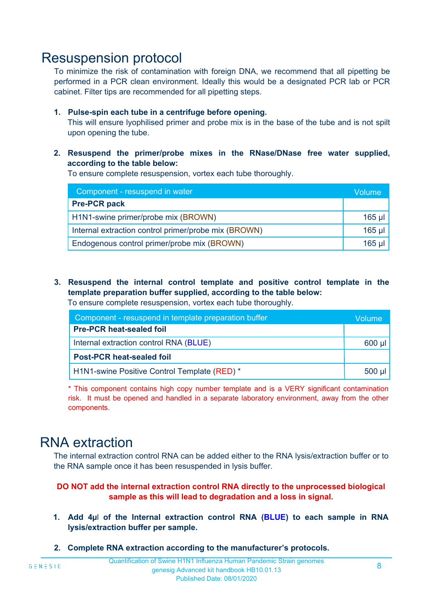### Resuspension protocol

To minimize the risk of contamination with foreign DNA, we recommend that all pipetting be performed in a PCR clean environment. Ideally this would be a designated PCR lab or PCR cabinet. Filter tips are recommended for all pipetting steps.

#### **1. Pulse-spin each tube in a centrifuge before opening.**

This will ensure lyophilised primer and probe mix is in the base of the tube and is not spilt upon opening the tube.

**2. Resuspend the primer/probe mixes in the RNase/DNase free water supplied, according to the table below:**

To ensure complete resuspension, vortex each tube thoroughly.

| Component - resuspend in water                       |          |  |
|------------------------------------------------------|----------|--|
| <b>Pre-PCR pack</b>                                  |          |  |
| H1N1-swine primer/probe mix (BROWN)                  | $165$ µl |  |
| Internal extraction control primer/probe mix (BROWN) | $165$ µl |  |
| Endogenous control primer/probe mix (BROWN)          | $165$ µl |  |

**3. Resuspend the internal control template and positive control template in the template preparation buffer supplied, according to the table below:** To ensure complete resuspension, vortex each tube thoroughly.

| Component - resuspend in template preparation buffer |  |  |  |
|------------------------------------------------------|--|--|--|
| <b>Pre-PCR heat-sealed foil</b>                      |  |  |  |
| Internal extraction control RNA (BLUE)               |  |  |  |
| <b>Post-PCR heat-sealed foil</b>                     |  |  |  |
| H1N1-swine Positive Control Template (RED) *         |  |  |  |

\* This component contains high copy number template and is a VERY significant contamination risk. It must be opened and handled in a separate laboratory environment, away from the other components.

### RNA extraction

The internal extraction control RNA can be added either to the RNA lysis/extraction buffer or to the RNA sample once it has been resuspended in lysis buffer.

#### **DO NOT add the internal extraction control RNA directly to the unprocessed biological sample as this will lead to degradation and a loss in signal.**

- **1. Add 4µ**l **of the Internal extraction control RNA (BLUE) to each sample in RNA lysis/extraction buffer per sample.**
- **2. Complete RNA extraction according to the manufacturer's protocols.**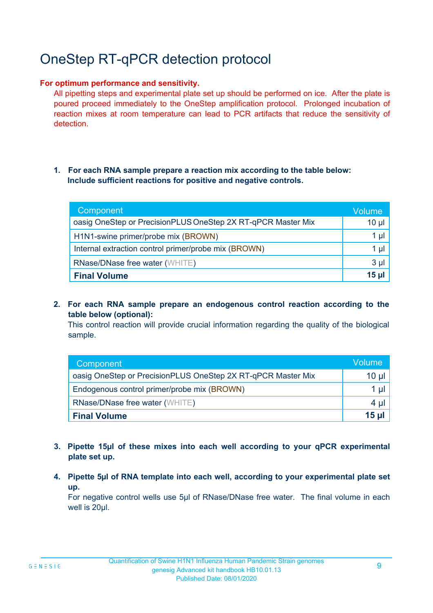# OneStep RT-qPCR detection protocol

#### **For optimum performance and sensitivity.**

All pipetting steps and experimental plate set up should be performed on ice. After the plate is poured proceed immediately to the OneStep amplification protocol. Prolonged incubation of reaction mixes at room temperature can lead to PCR artifacts that reduce the sensitivity of detection.

#### **1. For each RNA sample prepare a reaction mix according to the table below: Include sufficient reactions for positive and negative controls.**

| Component                                                    | <b>Volume</b> |
|--------------------------------------------------------------|---------------|
| oasig OneStep or PrecisionPLUS OneStep 2X RT-qPCR Master Mix | $10 \mu$      |
| H1N1-swine primer/probe mix (BROWN)                          | 1 µl          |
| Internal extraction control primer/probe mix (BROWN)         | 1 µl          |
| <b>RNase/DNase free water (WHITE)</b>                        | $3 \mu$       |
| <b>Final Volume</b>                                          | $15$ µ        |

**2. For each RNA sample prepare an endogenous control reaction according to the table below (optional):**

This control reaction will provide crucial information regarding the quality of the biological sample.

| Component                                                    | Volume. |
|--------------------------------------------------------------|---------|
| oasig OneStep or PrecisionPLUS OneStep 2X RT-qPCR Master Mix | 10 µl   |
| Endogenous control primer/probe mix (BROWN)                  |         |
| <b>RNase/DNase free water (WHITE)</b>                        | 4 µ     |
| <b>Final Volume</b>                                          | $15$ µ  |

- **3. Pipette 15µl of these mixes into each well according to your qPCR experimental plate set up.**
- **4. Pipette 5µl of RNA template into each well, according to your experimental plate set up.**

For negative control wells use 5µl of RNase/DNase free water. The final volume in each well is 20ul.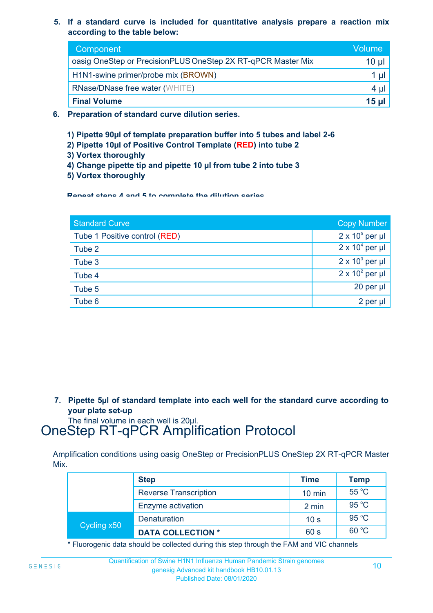**5. If a standard curve is included for quantitative analysis prepare a reaction mix according to the table below:**

| Component                                                    | Volume       |  |  |
|--------------------------------------------------------------|--------------|--|--|
| oasig OneStep or PrecisionPLUS OneStep 2X RT-qPCR Master Mix | $10 \mu$     |  |  |
| H1N1-swine primer/probe mix (BROWN)                          |              |  |  |
| <b>RNase/DNase free water (WHITE)</b>                        | 4 µl         |  |  |
| <b>Final Volume</b>                                          | <b>15 ul</b> |  |  |

- **6. Preparation of standard curve dilution series.**
	- **1) Pipette 90µl of template preparation buffer into 5 tubes and label 2-6**
	- **2) Pipette 10µl of Positive Control Template (RED) into tube 2**
	- **3) Vortex thoroughly**
	- **4) Change pipette tip and pipette 10 µl from tube 2 into tube 3**
	- **5) Vortex thoroughly**

**Repeat steps 4 and 5 to complete the dilution series**

| <b>Standard Curve</b>         | <b>Copy Number</b>     |
|-------------------------------|------------------------|
| Tube 1 Positive control (RED) | $2 \times 10^5$ per µl |
| Tube 2                        | $2 \times 10^4$ per µl |
| Tube 3                        | $2 \times 10^3$ per µl |
| Tube 4                        | $2 \times 10^2$ per µl |
| Tube 5                        | 20 per µl              |
| Tube 6                        | 2 per µl               |

**7. Pipette 5µl of standard template into each well for the standard curve according to your plate set-up**

The final volume in each well is 20µl.

# OneStep RT-qPCR Amplification Protocol

Amplification conditions using oasig OneStep or PrecisionPLUS OneStep 2X RT-qPCR Master Mix.

|             | <b>Step</b>                  | <b>Time</b>      | <b>Temp</b> |
|-------------|------------------------------|------------------|-------------|
|             | <b>Reverse Transcription</b> | $10 \text{ min}$ | 55 °C       |
|             | Enzyme activation            | 2 min            | 95 °C       |
| Cycling x50 | <b>Denaturation</b>          | 10 <sub>s</sub>  | 95 °C       |
|             | <b>DATA COLLECTION *</b>     | 60 s             | 60 °C       |

\* Fluorogenic data should be collected during this step through the FAM and VIC channels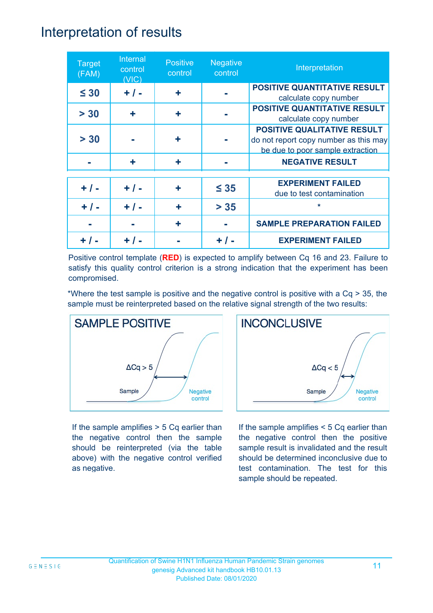### Interpretation of results

| <b>Target</b><br>(FAM) | Internal<br>control<br>(VIC) | <b>Positive</b><br>control | <b>Negative</b><br>control | Interpretation                                                                                                  |
|------------------------|------------------------------|----------------------------|----------------------------|-----------------------------------------------------------------------------------------------------------------|
| $\leq 30$              | $+ / -$                      | ÷                          |                            | <b>POSITIVE QUANTITATIVE RESULT</b><br>calculate copy number                                                    |
| > 30                   | ÷                            | ÷                          |                            | <b>POSITIVE QUANTITATIVE RESULT</b><br>calculate copy number                                                    |
| > 30                   |                              | ÷                          |                            | <b>POSITIVE QUALITATIVE RESULT</b><br>do not report copy number as this may<br>be due to poor sample extraction |
|                        | ÷                            | ٠                          |                            | <b>NEGATIVE RESULT</b>                                                                                          |
| $+ 1 -$                | $+ / -$                      | ٠                          | $\leq 35$                  | <b>EXPERIMENT FAILED</b><br>due to test contamination                                                           |
| $+ / -$                | $+ 1 -$                      | ÷                          | $> 35$                     | $\star$                                                                                                         |
|                        |                              | ٠                          |                            | <b>SAMPLE PREPARATION FAILED</b>                                                                                |
|                        |                              |                            | $+$ /                      | <b>EXPERIMENT FAILED</b>                                                                                        |

Positive control template (**RED**) is expected to amplify between Cq 16 and 23. Failure to satisfy this quality control criterion is a strong indication that the experiment has been compromised.

\*Where the test sample is positive and the negative control is positive with a Cq > 35, the sample must be reinterpreted based on the relative signal strength of the two results:



If the sample amplifies > 5 Cq earlier than the negative control then the sample should be reinterpreted (via the table above) with the negative control verified as negative.



If the sample amplifies < 5 Cq earlier than the negative control then the positive sample result is invalidated and the result should be determined inconclusive due to test contamination. The test for this sample should be repeated.